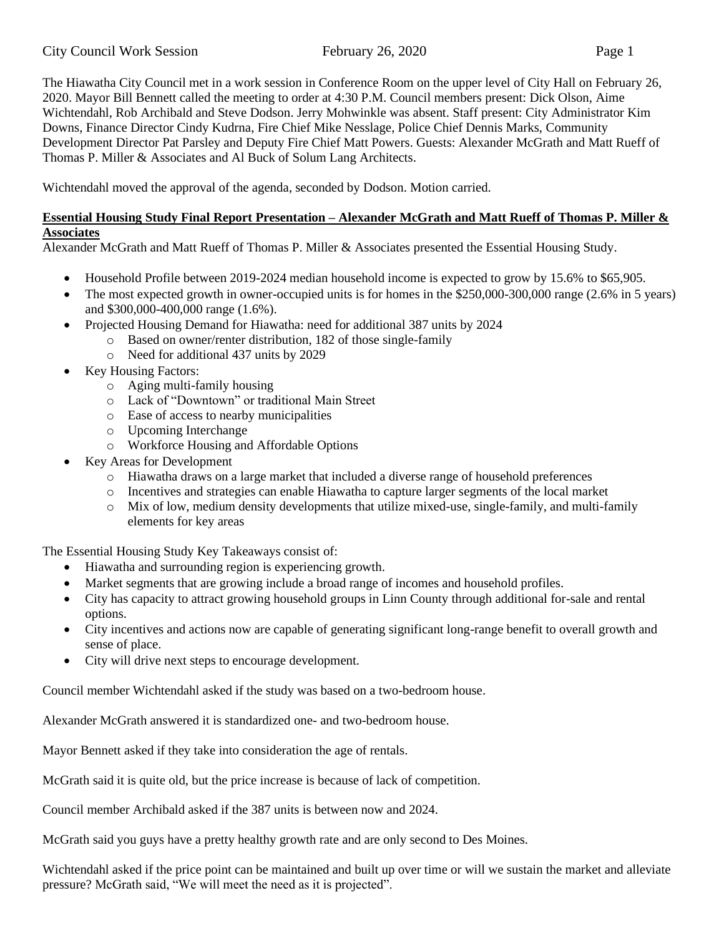The Hiawatha City Council met in a work session in Conference Room on the upper level of City Hall on February 26, 2020. Mayor Bill Bennett called the meeting to order at 4:30 P.M. Council members present: Dick Olson, Aime Wichtendahl, Rob Archibald and Steve Dodson. Jerry Mohwinkle was absent. Staff present: City Administrator Kim Downs, Finance Director Cindy Kudrna, Fire Chief Mike Nesslage, Police Chief Dennis Marks, Community Development Director Pat Parsley and Deputy Fire Chief Matt Powers. Guests: Alexander McGrath and Matt Rueff of Thomas P. Miller & Associates and Al Buck of Solum Lang Architects.

Wichtendahl moved the approval of the agenda, seconded by Dodson. Motion carried.

# **Essential Housing Study Final Report Presentation – Alexander McGrath and Matt Rueff of Thomas P. Miller & Associates**

Alexander McGrath and Matt Rueff of Thomas P. Miller & Associates presented the Essential Housing Study.

- Household Profile between 2019-2024 median household income is expected to grow by 15.6% to \$65,905.
- The most expected growth in owner-occupied units is for homes in the \$250,000-300,000 range (2.6% in 5 years) and \$300,000-400,000 range (1.6%).
- Projected Housing Demand for Hiawatha: need for additional 387 units by 2024
	- o Based on owner/renter distribution, 182 of those single-family
	- o Need for additional 437 units by 2029
- Key Housing Factors:
	- o Aging multi-family housing
	- o Lack of "Downtown" or traditional Main Street
	- o Ease of access to nearby municipalities
	- o Upcoming Interchange
	- o Workforce Housing and Affordable Options
- Key Areas for Development
	- o Hiawatha draws on a large market that included a diverse range of household preferences
	- o Incentives and strategies can enable Hiawatha to capture larger segments of the local market
	- o Mix of low, medium density developments that utilize mixed-use, single-family, and multi-family elements for key areas

The Essential Housing Study Key Takeaways consist of:

- Hiawatha and surrounding region is experiencing growth.
- Market segments that are growing include a broad range of incomes and household profiles.
- City has capacity to attract growing household groups in Linn County through additional for-sale and rental options.
- City incentives and actions now are capable of generating significant long-range benefit to overall growth and sense of place.
- City will drive next steps to encourage development.

Council member Wichtendahl asked if the study was based on a two-bedroom house.

Alexander McGrath answered it is standardized one- and two-bedroom house.

Mayor Bennett asked if they take into consideration the age of rentals.

McGrath said it is quite old, but the price increase is because of lack of competition.

Council member Archibald asked if the 387 units is between now and 2024.

McGrath said you guys have a pretty healthy growth rate and are only second to Des Moines.

Wichtendahl asked if the price point can be maintained and built up over time or will we sustain the market and alleviate pressure? McGrath said, "We will meet the need as it is projected".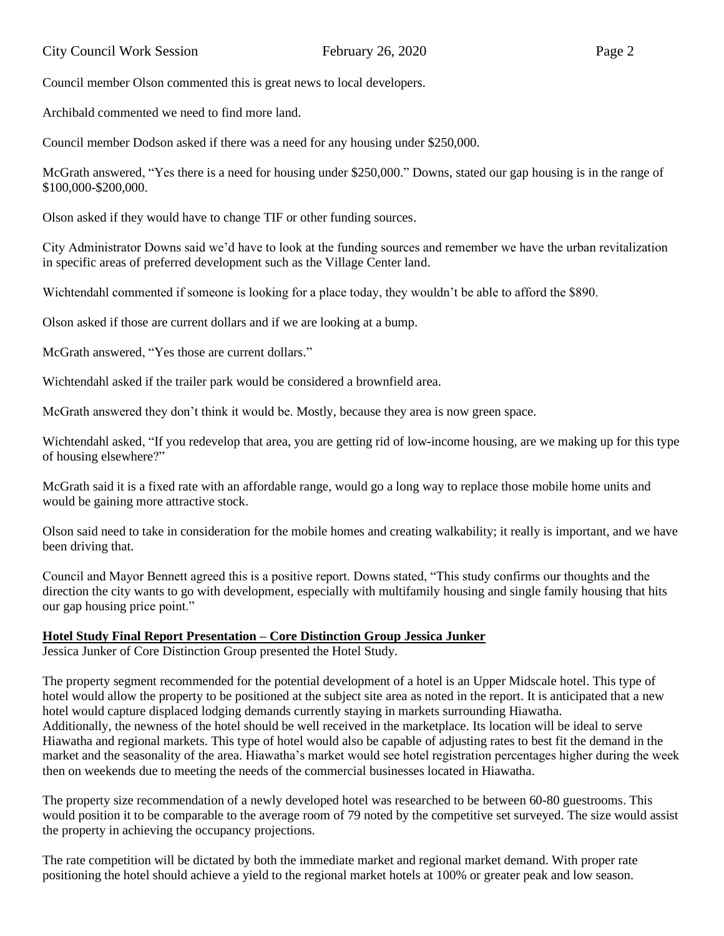Council member Olson commented this is great news to local developers.

Archibald commented we need to find more land.

Council member Dodson asked if there was a need for any housing under \$250,000.

McGrath answered, "Yes there is a need for housing under \$250,000." Downs, stated our gap housing is in the range of \$100,000-\$200,000.

Olson asked if they would have to change TIF or other funding sources.

City Administrator Downs said we'd have to look at the funding sources and remember we have the urban revitalization in specific areas of preferred development such as the Village Center land.

Wichtendahl commented if someone is looking for a place today, they wouldn't be able to afford the \$890.

Olson asked if those are current dollars and if we are looking at a bump.

McGrath answered, "Yes those are current dollars."

Wichtendahl asked if the trailer park would be considered a brownfield area.

McGrath answered they don't think it would be. Mostly, because they area is now green space.

Wichtendahl asked, "If you redevelop that area, you are getting rid of low-income housing, are we making up for this type of housing elsewhere?"

McGrath said it is a fixed rate with an affordable range, would go a long way to replace those mobile home units and would be gaining more attractive stock.

Olson said need to take in consideration for the mobile homes and creating walkability; it really is important, and we have been driving that.

Council and Mayor Bennett agreed this is a positive report. Downs stated, "This study confirms our thoughts and the direction the city wants to go with development, especially with multifamily housing and single family housing that hits our gap housing price point."

### **Hotel Study Final Report Presentation – Core Distinction Group Jessica Junker**

Jessica Junker of Core Distinction Group presented the Hotel Study.

The property segment recommended for the potential development of a hotel is an Upper Midscale hotel. This type of hotel would allow the property to be positioned at the subject site area as noted in the report. It is anticipated that a new hotel would capture displaced lodging demands currently staying in markets surrounding Hiawatha. Additionally, the newness of the hotel should be well received in the marketplace. Its location will be ideal to serve Hiawatha and regional markets. This type of hotel would also be capable of adjusting rates to best fit the demand in the market and the seasonality of the area. Hiawatha's market would see hotel registration percentages higher during the week then on weekends due to meeting the needs of the commercial businesses located in Hiawatha.

The property size recommendation of a newly developed hotel was researched to be between 60-80 guestrooms. This would position it to be comparable to the average room of 79 noted by the competitive set surveyed. The size would assist the property in achieving the occupancy projections.

The rate competition will be dictated by both the immediate market and regional market demand. With proper rate positioning the hotel should achieve a yield to the regional market hotels at 100% or greater peak and low season.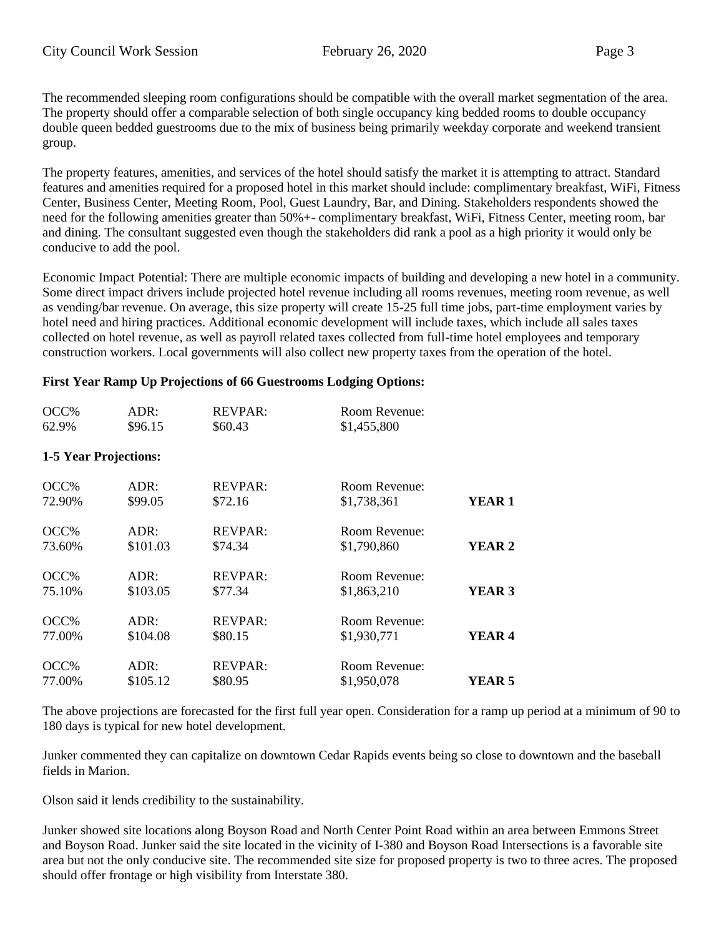The recommended sleeping room configurations should be compatible with the overall market segmentation of the area. The property should offer a comparable selection of both single occupancy king bedded rooms to double occupancy double queen bedded guestrooms due to the mix of business being primarily weekday corporate and weekend transient group.

The property features, amenities, and services of the hotel should satisfy the market it is attempting to attract. Standard features and amenities required for a proposed hotel in this market should include: complimentary breakfast, WiFi, Fitness Center, Business Center, Meeting Room, Pool, Guest Laundry, Bar, and Dining. Stakeholders respondents showed the need for the following amenities greater than 50%+- complimentary breakfast, WiFi, Fitness Center, meeting room, bar and dining. The consultant suggested even though the stakeholders did rank a pool as a high priority it would only be conducive to add the pool.

Economic Impact Potential: There are multiple economic impacts of building and developing a new hotel in a community. Some direct impact drivers include projected hotel revenue including all rooms revenues, meeting room revenue, as well as vending/bar revenue. On average, this size property will create 15-25 full time jobs, part-time employment varies by hotel need and hiring practices. Additional economic development will include taxes, which include all sales taxes collected on hotel revenue, as well as payroll related taxes collected from full-time hotel employees and temporary construction workers. Local governments will also collect new property taxes from the operation of the hotel.

# **First Year Ramp Up Projections of 66 Guestrooms Lodging Options:**

| OCC%                         | ADR:     | <b>REVPAR:</b> | Room Revenue: |               |
|------------------------------|----------|----------------|---------------|---------------|
| 62.9%                        | \$96.15  | \$60.43        | \$1,455,800   |               |
| <b>1-5 Year Projections:</b> |          |                |               |               |
| OCC%                         | ADR:     | <b>REVPAR:</b> | Room Revenue: | YEAR 1        |
| 72.90%                       | \$99.05  | \$72.16        | \$1,738,361   |               |
| OCC%                         | ADR:     | <b>REVPAR:</b> | Room Revenue: | <b>YEAR 2</b> |
| 73.60%                       | \$101.03 | \$74.34        | \$1,790,860   |               |
| OCC%                         | ADR:     | <b>REVPAR:</b> | Room Revenue: | <b>YEAR 3</b> |
| 75.10%                       | \$103.05 | \$77.34        | \$1,863,210   |               |
| OCC%                         | ADR:     | <b>REVPAR:</b> | Room Revenue: | YEAR 4        |
| 77.00%                       | \$104.08 | \$80.15        | \$1,930,771   |               |
| OCC%                         | ADR:     | <b>REVPAR:</b> | Room Revenue: | YEAR 5        |
| 77.00%                       | \$105.12 | \$80.95        | \$1,950,078   |               |

The above projections are forecasted for the first full year open. Consideration for a ramp up period at a minimum of 90 to 180 days is typical for new hotel development.

Junker commented they can capitalize on downtown Cedar Rapids events being so close to downtown and the baseball fields in Marion.

Olson said it lends credibility to the sustainability.

Junker showed site locations along Boyson Road and North Center Point Road within an area between Emmons Street and Boyson Road. Junker said the site located in the vicinity of I-380 and Boyson Road Intersections is a favorable site area but not the only conducive site. The recommended site size for proposed property is two to three acres. The proposed should offer frontage or high visibility from Interstate 380.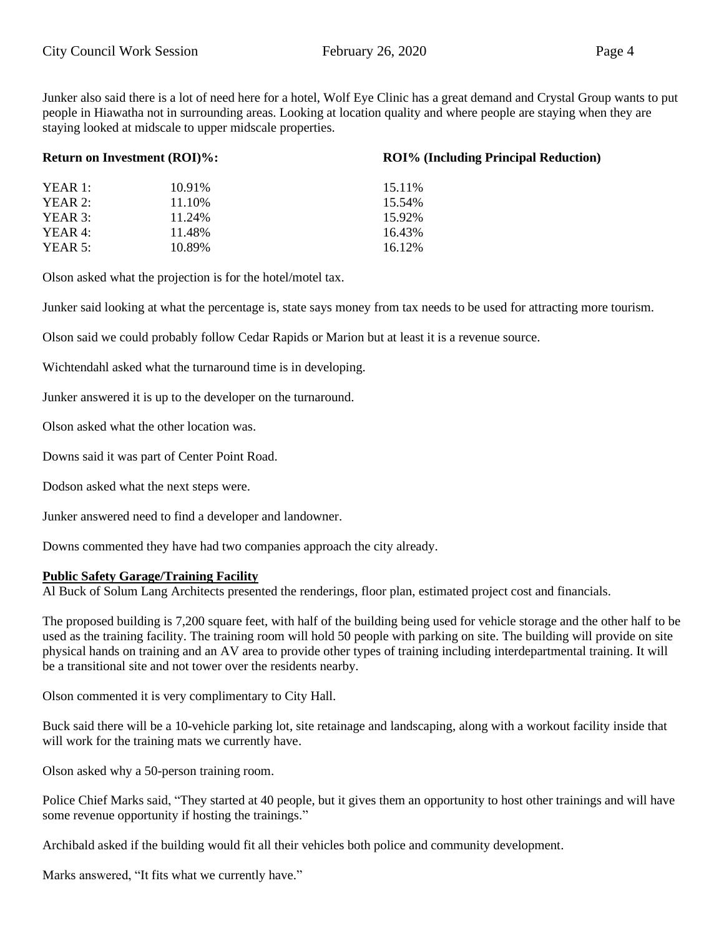Junker also said there is a lot of need here for a hotel, Wolf Eye Clinic has a great demand and Crystal Group wants to put people in Hiawatha not in surrounding areas. Looking at location quality and where people are staying when they are staying looked at midscale to upper midscale properties.

|           | <b>Return on Investment (ROI)%:</b> | <b>ROI% (Including Principal Reduction)</b> |  |
|-----------|-------------------------------------|---------------------------------------------|--|
| YEAR 1:   | 10.91%                              | 15.11%                                      |  |
| YEAR 2:   | 11.10%                              | 15.54%                                      |  |
| YEAR $3:$ | 11.24%                              | 15.92%                                      |  |
| YEAR 4:   | 11.48%                              | 16.43%                                      |  |
| YEAR 5:   | 10.89%                              | 16.12%                                      |  |

Olson asked what the projection is for the hotel/motel tax.

Junker said looking at what the percentage is, state says money from tax needs to be used for attracting more tourism.

Olson said we could probably follow Cedar Rapids or Marion but at least it is a revenue source.

Wichtendahl asked what the turnaround time is in developing.

Junker answered it is up to the developer on the turnaround.

Olson asked what the other location was.

Downs said it was part of Center Point Road.

Dodson asked what the next steps were.

Junker answered need to find a developer and landowner.

Downs commented they have had two companies approach the city already.

#### **Public Safety Garage/Training Facility**

Al Buck of Solum Lang Architects presented the renderings, floor plan, estimated project cost and financials.

The proposed building is 7,200 square feet, with half of the building being used for vehicle storage and the other half to be used as the training facility. The training room will hold 50 people with parking on site. The building will provide on site physical hands on training and an AV area to provide other types of training including interdepartmental training. It will be a transitional site and not tower over the residents nearby.

Olson commented it is very complimentary to City Hall.

Buck said there will be a 10-vehicle parking lot, site retainage and landscaping, along with a workout facility inside that will work for the training mats we currently have.

Olson asked why a 50-person training room.

Police Chief Marks said, "They started at 40 people, but it gives them an opportunity to host other trainings and will have some revenue opportunity if hosting the trainings."

Archibald asked if the building would fit all their vehicles both police and community development.

Marks answered, "It fits what we currently have."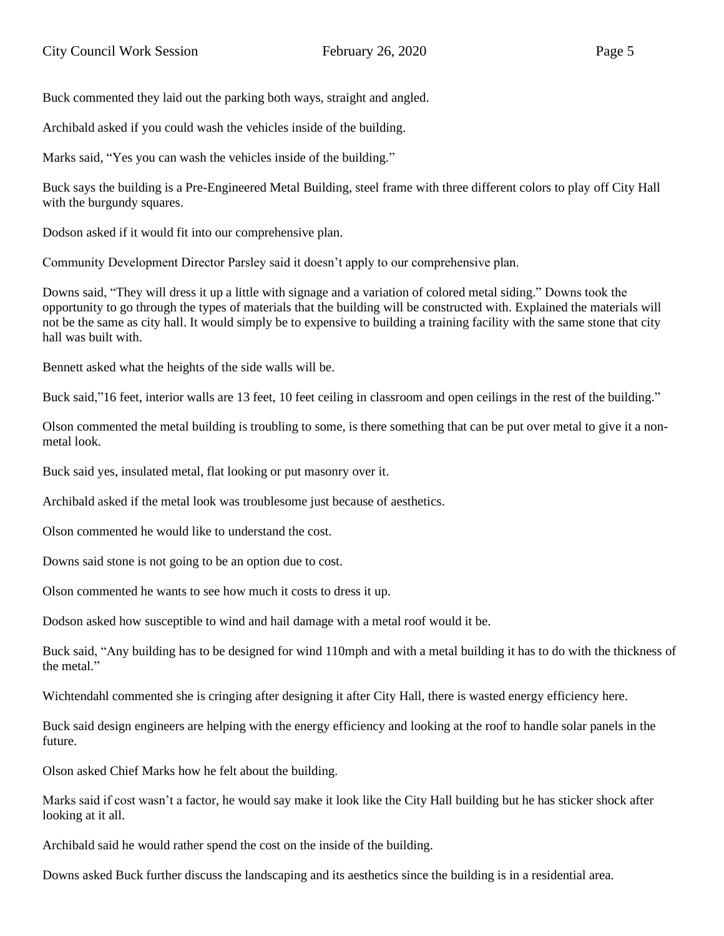Buck commented they laid out the parking both ways, straight and angled.

Archibald asked if you could wash the vehicles inside of the building.

Marks said, "Yes you can wash the vehicles inside of the building."

Buck says the building is a Pre-Engineered Metal Building, steel frame with three different colors to play off City Hall with the burgundy squares.

Dodson asked if it would fit into our comprehensive plan.

Community Development Director Parsley said it doesn't apply to our comprehensive plan.

Downs said, "They will dress it up a little with signage and a variation of colored metal siding." Downs took the opportunity to go through the types of materials that the building will be constructed with. Explained the materials will not be the same as city hall. It would simply be to expensive to building a training facility with the same stone that city hall was built with.

Bennett asked what the heights of the side walls will be.

Buck said,"16 feet, interior walls are 13 feet, 10 feet ceiling in classroom and open ceilings in the rest of the building."

Olson commented the metal building is troubling to some, is there something that can be put over metal to give it a nonmetal look.

Buck said yes, insulated metal, flat looking or put masonry over it.

Archibald asked if the metal look was troublesome just because of aesthetics.

Olson commented he would like to understand the cost.

Downs said stone is not going to be an option due to cost.

Olson commented he wants to see how much it costs to dress it up.

Dodson asked how susceptible to wind and hail damage with a metal roof would it be.

Buck said, "Any building has to be designed for wind 110mph and with a metal building it has to do with the thickness of the metal"

Wichtendahl commented she is cringing after designing it after City Hall, there is wasted energy efficiency here.

Buck said design engineers are helping with the energy efficiency and looking at the roof to handle solar panels in the future.

Olson asked Chief Marks how he felt about the building.

Marks said if cost wasn't a factor, he would say make it look like the City Hall building but he has sticker shock after looking at it all.

Archibald said he would rather spend the cost on the inside of the building.

Downs asked Buck further discuss the landscaping and its aesthetics since the building is in a residential area.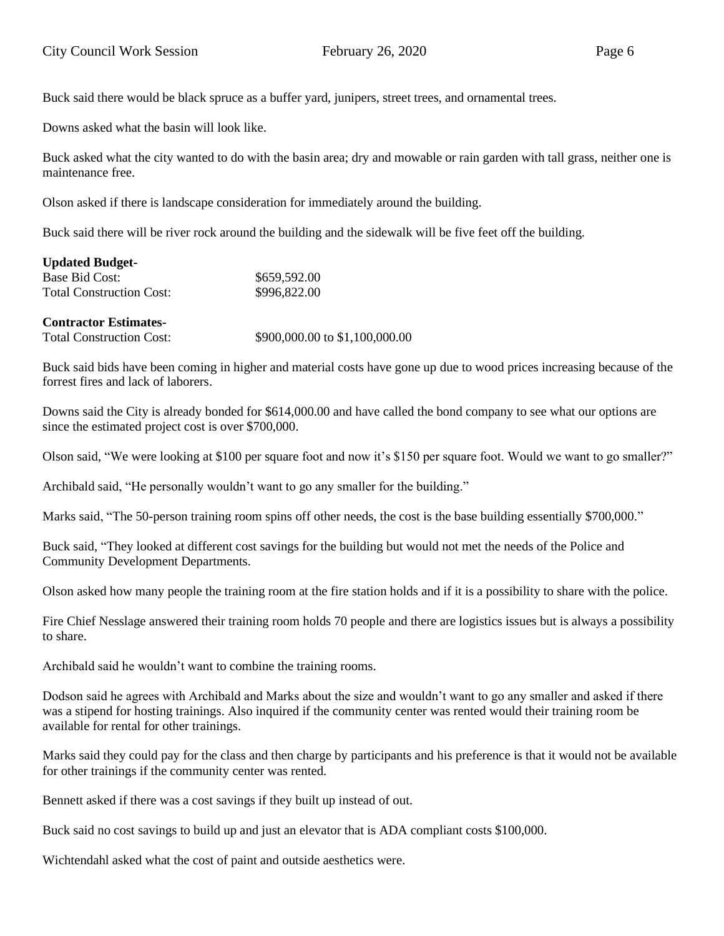Buck said there would be black spruce as a buffer yard, junipers, street trees, and ornamental trees.

Downs asked what the basin will look like.

Buck asked what the city wanted to do with the basin area; dry and mowable or rain garden with tall grass, neither one is maintenance free.

Olson asked if there is landscape consideration for immediately around the building.

Buck said there will be river rock around the building and the sidewalk will be five feet off the building.

| <b>Updated Budget-</b>          |              |
|---------------------------------|--------------|
| Base Bid Cost:                  | \$659,592.00 |
| <b>Total Construction Cost:</b> | \$996,822.00 |

### **Contractor Estimates-**

Total Construction Cost: \$900,000.00 to \$1,100,000.00

Buck said bids have been coming in higher and material costs have gone up due to wood prices increasing because of the forrest fires and lack of laborers.

Downs said the City is already bonded for \$614,000.00 and have called the bond company to see what our options are since the estimated project cost is over \$700,000.

Olson said, "We were looking at \$100 per square foot and now it's \$150 per square foot. Would we want to go smaller?"

Archibald said, "He personally wouldn't want to go any smaller for the building."

Marks said, "The 50-person training room spins off other needs, the cost is the base building essentially \$700,000."

Buck said, "They looked at different cost savings for the building but would not met the needs of the Police and Community Development Departments.

Olson asked how many people the training room at the fire station holds and if it is a possibility to share with the police.

Fire Chief Nesslage answered their training room holds 70 people and there are logistics issues but is always a possibility to share.

Archibald said he wouldn't want to combine the training rooms.

Dodson said he agrees with Archibald and Marks about the size and wouldn't want to go any smaller and asked if there was a stipend for hosting trainings. Also inquired if the community center was rented would their training room be available for rental for other trainings.

Marks said they could pay for the class and then charge by participants and his preference is that it would not be available for other trainings if the community center was rented.

Bennett asked if there was a cost savings if they built up instead of out.

Buck said no cost savings to build up and just an elevator that is ADA compliant costs \$100,000.

Wichtendahl asked what the cost of paint and outside aesthetics were.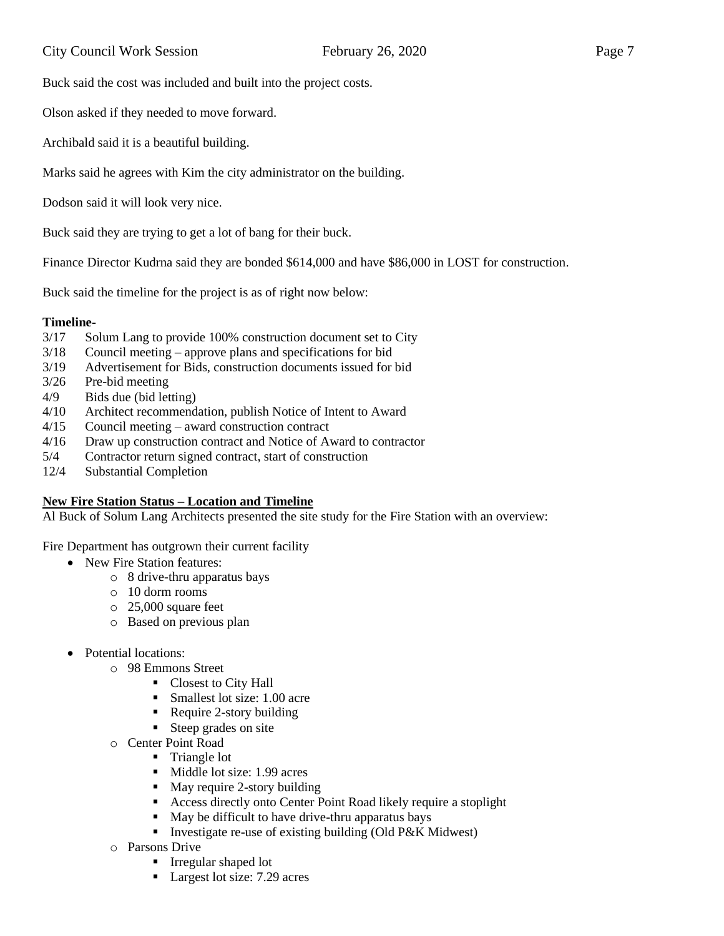Buck said the cost was included and built into the project costs.

Olson asked if they needed to move forward.

Archibald said it is a beautiful building.

Marks said he agrees with Kim the city administrator on the building.

Dodson said it will look very nice.

Buck said they are trying to get a lot of bang for their buck.

Finance Director Kudrna said they are bonded \$614,000 and have \$86,000 in LOST for construction.

Buck said the timeline for the project is as of right now below:

### **Timeline-**

- 3/17 Solum Lang to provide 100% construction document set to City
- 3/18 Council meeting approve plans and specifications for bid
- 3/19 Advertisement for Bids, construction documents issued for bid
- 3/26 Pre-bid meeting
- 4/9 Bids due (bid letting)
- 4/10 Architect recommendation, publish Notice of Intent to Award
- 4/15 Council meeting award construction contract
- 4/16 Draw up construction contract and Notice of Award to contractor
- 5/4 Contractor return signed contract, start of construction
- 12/4 Substantial Completion

### **New Fire Station Status – Location and Timeline**

Al Buck of Solum Lang Architects presented the site study for the Fire Station with an overview:

Fire Department has outgrown their current facility

- New Fire Station features:
	- o 8 drive-thru apparatus bays
	- o 10 dorm rooms
	- o 25,000 square feet
	- o Based on previous plan
- Potential locations:
	- o 98 Emmons Street
		- Closest to City Hall
		- Smallest lot size: 1.00 acre
		- Require 2-story building
		- **Example 1** Steep grades on site
	- o Center Point Road
		- **Triangle lot** 
			- Middle lot size: 1.99 acres
			- May require 2-story building
			- Access directly onto Center Point Road likely require a stoplight
			- May be difficult to have drive-thru apparatus bays
		- Investigate re-use of existing building (Old P&K Midwest)
	- o Parsons Drive
		- Irregular shaped lot
		- Largest lot size: 7.29 acres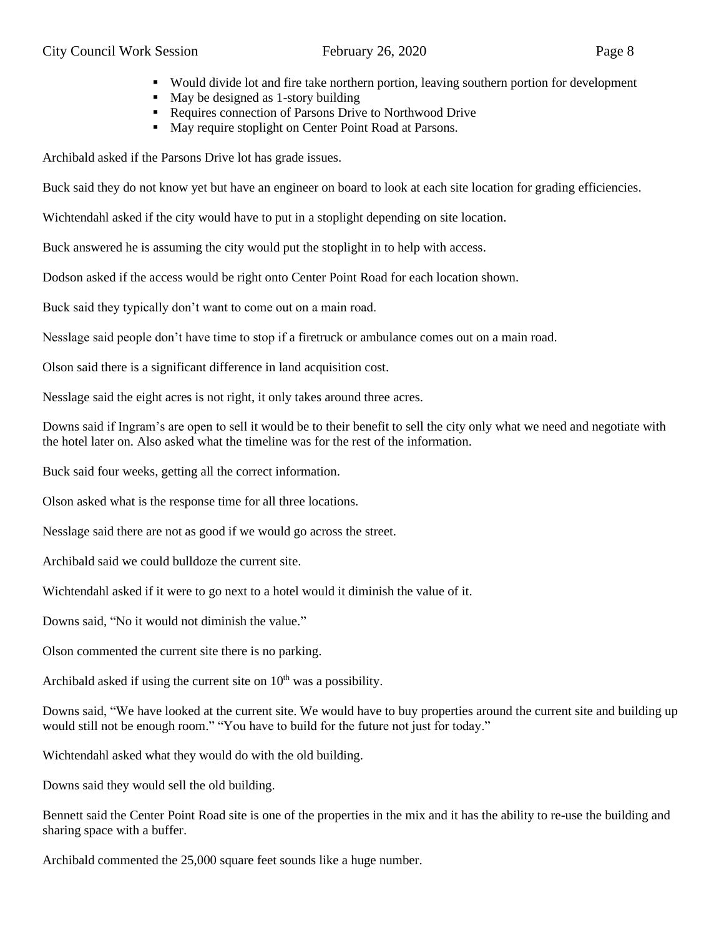- Would divide lot and fire take northern portion, leaving southern portion for development
- May be designed as 1-story building
- Requires connection of Parsons Drive to Northwood Drive
- May require stoplight on Center Point Road at Parsons.

Archibald asked if the Parsons Drive lot has grade issues.

Buck said they do not know yet but have an engineer on board to look at each site location for grading efficiencies.

Wichtendahl asked if the city would have to put in a stoplight depending on site location.

Buck answered he is assuming the city would put the stoplight in to help with access.

Dodson asked if the access would be right onto Center Point Road for each location shown.

Buck said they typically don't want to come out on a main road.

Nesslage said people don't have time to stop if a firetruck or ambulance comes out on a main road.

Olson said there is a significant difference in land acquisition cost.

Nesslage said the eight acres is not right, it only takes around three acres.

Downs said if Ingram's are open to sell it would be to their benefit to sell the city only what we need and negotiate with the hotel later on. Also asked what the timeline was for the rest of the information.

Buck said four weeks, getting all the correct information.

Olson asked what is the response time for all three locations.

Nesslage said there are not as good if we would go across the street.

Archibald said we could bulldoze the current site.

Wichtendahl asked if it were to go next to a hotel would it diminish the value of it.

Downs said, "No it would not diminish the value."

Olson commented the current site there is no parking.

Archibald asked if using the current site on  $10<sup>th</sup>$  was a possibility.

Downs said, "We have looked at the current site. We would have to buy properties around the current site and building up would still not be enough room." "You have to build for the future not just for today."

Wichtendahl asked what they would do with the old building.

Downs said they would sell the old building.

Bennett said the Center Point Road site is one of the properties in the mix and it has the ability to re-use the building and sharing space with a buffer.

Archibald commented the 25,000 square feet sounds like a huge number.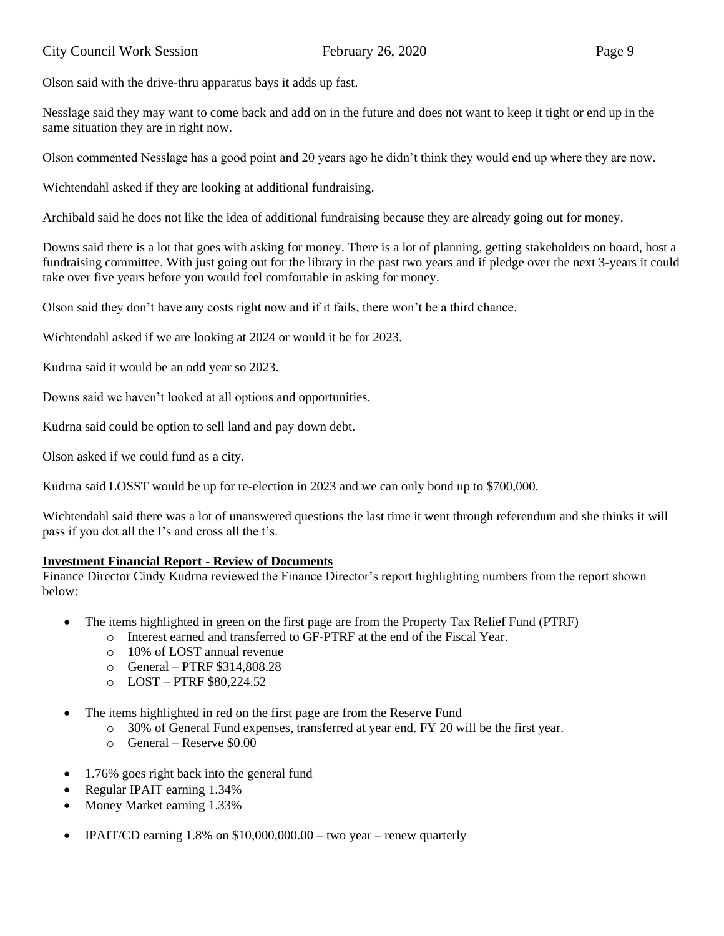Olson said with the drive-thru apparatus bays it adds up fast.

Nesslage said they may want to come back and add on in the future and does not want to keep it tight or end up in the same situation they are in right now.

Olson commented Nesslage has a good point and 20 years ago he didn't think they would end up where they are now.

Wichtendahl asked if they are looking at additional fundraising.

Archibald said he does not like the idea of additional fundraising because they are already going out for money.

Downs said there is a lot that goes with asking for money. There is a lot of planning, getting stakeholders on board, host a fundraising committee. With just going out for the library in the past two years and if pledge over the next 3-years it could take over five years before you would feel comfortable in asking for money.

Olson said they don't have any costs right now and if it fails, there won't be a third chance.

Wichtendahl asked if we are looking at 2024 or would it be for 2023.

Kudrna said it would be an odd year so 2023.

Downs said we haven't looked at all options and opportunities.

Kudrna said could be option to sell land and pay down debt.

Olson asked if we could fund as a city.

Kudrna said LOSST would be up for re-election in 2023 and we can only bond up to \$700,000.

Wichtendahl said there was a lot of unanswered questions the last time it went through referendum and she thinks it will pass if you dot all the I's and cross all the t's.

# **Investment Financial Report - Review of Documents**

Finance Director Cindy Kudrna reviewed the Finance Director's report highlighting numbers from the report shown below:

- The items highlighted in green on the first page are from the Property Tax Relief Fund (PTRF)
	- o Interest earned and transferred to GF-PTRF at the end of the Fiscal Year.
		- o 10% of LOST annual revenue
		- o General PTRF \$314,808.28
		- o LOST PTRF \$80,224.52
- The items highlighted in red on the first page are from the Reserve Fund
	- o 30% of General Fund expenses, transferred at year end. FY 20 will be the first year.
	- o General Reserve \$0.00
- 1.76% goes right back into the general fund
- Regular IPAIT earning 1.34%
- Money Market earning 1.33%
- IPAIT/CD earning  $1.8\%$  on \$10,000,000.00 two year renew quarterly